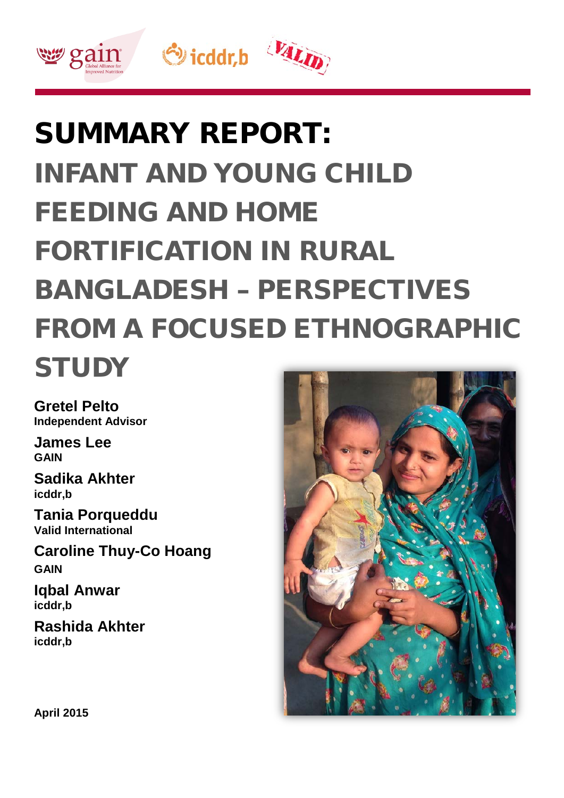

# SUMMARY REPORT: INFANT AND YOUNG CHILD FEEDING AND HOME FORTIFICATION IN RURAL BANGLADESH – PERSPECTIVES FROM A FOCUSED ETHNOGRAPHIC **STUDY**

**Gretel Pelto Independent Advisor**

**James Lee GAIN**

**Sadika Akhter icddr,b**

**Tania Porqueddu Valid International**

**Caroline Thuy-Co Hoang GAIN**

**Iqbal Anwar icddr,b**

**Rashida Akhter icddr,b**



**April 2015**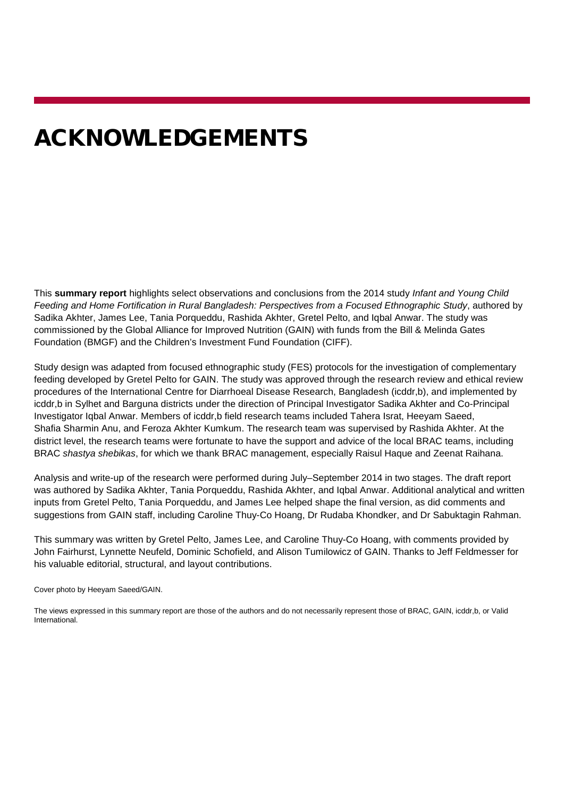# ACKNOWLEDGEMENTS

This **summary report** highlights select observations and conclusions from the 2014 study *Infant and Young Child Feeding and Home Fortification in Rural Bangladesh: Perspectives from a Focused Ethnographic Study*, authored by Sadika Akhter, James Lee, Tania Porqueddu, Rashida Akhter, Gretel Pelto, and Iqbal Anwar. The study was commissioned by the Global Alliance for Improved Nutrition (GAIN) with funds from the Bill & Melinda Gates Foundation (BMGF) and the Children's Investment Fund Foundation (CIFF).

Study design was adapted from focused ethnographic study (FES) protocols for the investigation of complementary feeding developed by Gretel Pelto for GAIN. The study was approved through the research review and ethical review procedures of the International Centre for Diarrhoeal Disease Research, Bangladesh (icddr,b), and implemented by icddr,b in Sylhet and Barguna districts under the direction of Principal Investigator Sadika Akhter and Co-Principal Investigator Iqbal Anwar. Members of icddr,b field research teams included Tahera Israt, Heeyam Saeed, Shafia Sharmin Anu, and Feroza Akhter Kumkum. The research team was supervised by Rashida Akhter. At the district level, the research teams were fortunate to have the support and advice of the local BRAC teams, including BRAC *shastya shebikas*, for which we thank BRAC management, especially Raisul Haque and Zeenat Raihana.

Analysis and write-up of the research were performed during July–September 2014 in two stages. The draft report was authored by Sadika Akhter, Tania Porqueddu, Rashida Akhter, and Iqbal Anwar. Additional analytical and written inputs from Gretel Pelto, Tania Porqueddu, and James Lee helped shape the final version, as did comments and suggestions from GAIN staff, including Caroline Thuy-Co Hoang, Dr Rudaba Khondker, and Dr Sabuktagin Rahman.

This summary was written by Gretel Pelto, James Lee, and Caroline Thuy-Co Hoang, with comments provided by John Fairhurst, Lynnette Neufeld, Dominic Schofield, and Alison Tumilowicz of GAIN. Thanks to Jeff Feldmesser for his valuable editorial, structural, and layout contributions.

Cover photo by Heeyam Saeed/GAIN.

The views expressed in this summary report are those of the authors and do not necessarily represent those of BRAC, GAIN, icddr,b, or Valid International.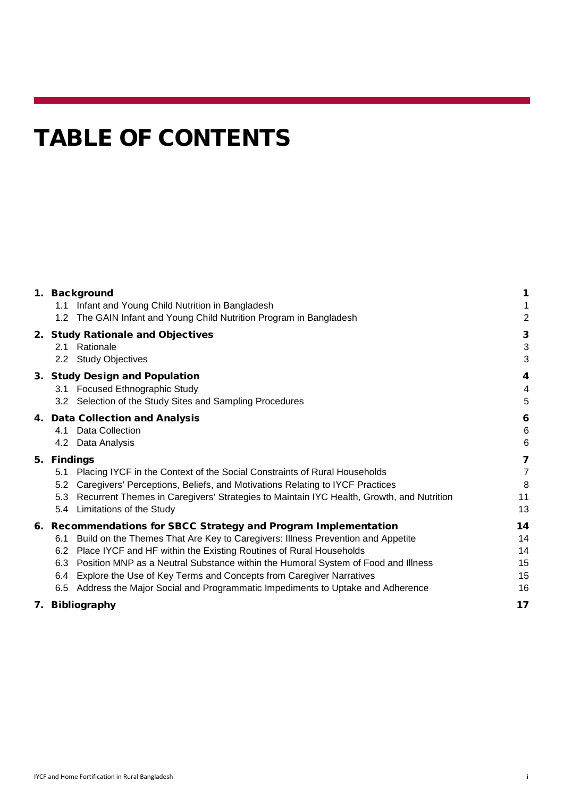# TABLE OF CONTENTS

|                                                                                          | 1                                                                                                                                                                                                                                                                                                                                                                                                                                                                                                                                                                                                                                                                     |
|------------------------------------------------------------------------------------------|-----------------------------------------------------------------------------------------------------------------------------------------------------------------------------------------------------------------------------------------------------------------------------------------------------------------------------------------------------------------------------------------------------------------------------------------------------------------------------------------------------------------------------------------------------------------------------------------------------------------------------------------------------------------------|
| Infant and Young Child Nutrition in Bangladesh<br>1.1                                    | 1                                                                                                                                                                                                                                                                                                                                                                                                                                                                                                                                                                                                                                                                     |
| The GAIN Infant and Young Child Nutrition Program in Bangladesh<br>1.2                   | $\overline{2}$                                                                                                                                                                                                                                                                                                                                                                                                                                                                                                                                                                                                                                                        |
|                                                                                          | 3                                                                                                                                                                                                                                                                                                                                                                                                                                                                                                                                                                                                                                                                     |
| 2.1 Rationale                                                                            | 3                                                                                                                                                                                                                                                                                                                                                                                                                                                                                                                                                                                                                                                                     |
| 2.2 Study Objectives                                                                     | 3                                                                                                                                                                                                                                                                                                                                                                                                                                                                                                                                                                                                                                                                     |
|                                                                                          | 4                                                                                                                                                                                                                                                                                                                                                                                                                                                                                                                                                                                                                                                                     |
|                                                                                          | $\overline{4}$                                                                                                                                                                                                                                                                                                                                                                                                                                                                                                                                                                                                                                                        |
| 3.2 Selection of the Study Sites and Sampling Procedures                                 | 5                                                                                                                                                                                                                                                                                                                                                                                                                                                                                                                                                                                                                                                                     |
|                                                                                          | 6                                                                                                                                                                                                                                                                                                                                                                                                                                                                                                                                                                                                                                                                     |
| 4.1 Data Collection                                                                      | $\,6$                                                                                                                                                                                                                                                                                                                                                                                                                                                                                                                                                                                                                                                                 |
| 4.2 Data Analysis                                                                        | $6\phantom{1}6$                                                                                                                                                                                                                                                                                                                                                                                                                                                                                                                                                                                                                                                       |
| 5.                                                                                       | 7                                                                                                                                                                                                                                                                                                                                                                                                                                                                                                                                                                                                                                                                     |
| 5.1                                                                                      | $\overline{7}$                                                                                                                                                                                                                                                                                                                                                                                                                                                                                                                                                                                                                                                        |
| 5.2                                                                                      | 8                                                                                                                                                                                                                                                                                                                                                                                                                                                                                                                                                                                                                                                                     |
| 5.3                                                                                      | 11                                                                                                                                                                                                                                                                                                                                                                                                                                                                                                                                                                                                                                                                    |
| Limitations of the Study<br>5.4                                                          | 13                                                                                                                                                                                                                                                                                                                                                                                                                                                                                                                                                                                                                                                                    |
|                                                                                          | 14                                                                                                                                                                                                                                                                                                                                                                                                                                                                                                                                                                                                                                                                    |
| 6.1                                                                                      | 14                                                                                                                                                                                                                                                                                                                                                                                                                                                                                                                                                                                                                                                                    |
|                                                                                          | 14                                                                                                                                                                                                                                                                                                                                                                                                                                                                                                                                                                                                                                                                    |
| Position MNP as a Neutral Substance within the Humoral System of Food and Illness<br>6.3 | 15                                                                                                                                                                                                                                                                                                                                                                                                                                                                                                                                                                                                                                                                    |
| Explore the Use of Key Terms and Concepts from Caregiver Narratives<br>6.4               | 15                                                                                                                                                                                                                                                                                                                                                                                                                                                                                                                                                                                                                                                                    |
| Address the Major Social and Programmatic Impediments to Uptake and Adherence<br>6.5     | 16                                                                                                                                                                                                                                                                                                                                                                                                                                                                                                                                                                                                                                                                    |
| <b>Bibliography</b><br>7.                                                                | 17                                                                                                                                                                                                                                                                                                                                                                                                                                                                                                                                                                                                                                                                    |
|                                                                                          | 1. Background<br>2. Study Rationale and Objectives<br>3. Study Design and Population<br>3.1 Focused Ethnographic Study<br>4. Data Collection and Analysis<br><b>Findings</b><br>Placing IYCF in the Context of the Social Constraints of Rural Households<br>Caregivers' Perceptions, Beliefs, and Motivations Relating to IYCF Practices<br>Recurrent Themes in Caregivers' Strategies to Maintain IYC Health, Growth, and Nutrition<br>6. Recommendations for SBCC Strategy and Program Implementation<br>Build on the Themes That Are Key to Caregivers: Illness Prevention and Appetite<br>6.2 Place IYCF and HF within the Existing Routines of Rural Households |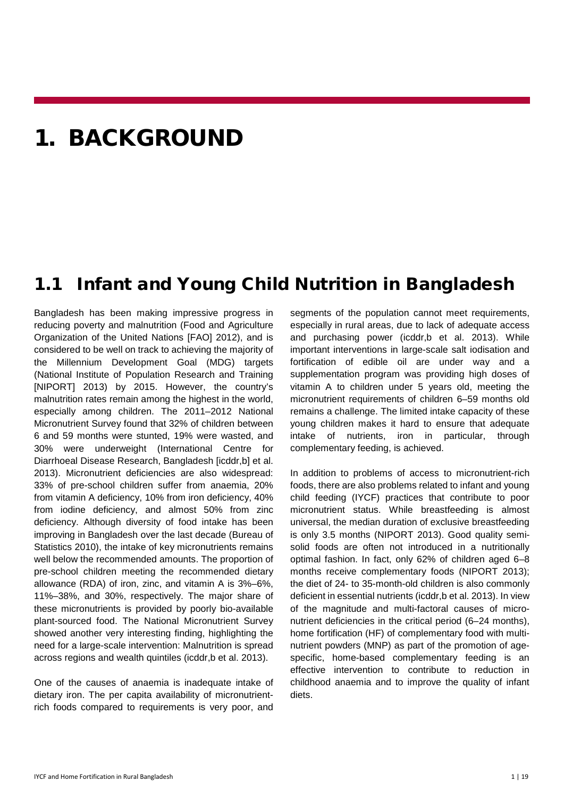### <span id="page-3-0"></span>1. BACKGROUND

#### <span id="page-3-1"></span>1.1 Infant and Young Child Nutrition in Bangladesh

Bangladesh has been making impressive progress in reducing poverty and malnutrition (Food and Agriculture Organization of the United Nations [FAO] 2012), and is considered to be well on track to achieving the majority of the Millennium Development Goal (MDG) targets (National Institute of Population Research and Training [NIPORT] 2013) by 2015. However, the country's malnutrition rates remain among the highest in the world, especially among children. The 2011–2012 National Micronutrient Survey found that 32% of children between 6 and 59 months were stunted, 19% were wasted, and 30% were underweight (International Centre for Diarrhoeal Disease Research, Bangladesh [icddr,b] et al. 2013). Micronutrient deficiencies are also widespread: 33% of pre-school children suffer from anaemia, 20% from vitamin A deficiency, 10% from iron deficiency, 40% from iodine deficiency, and almost 50% from zinc deficiency. Although diversity of food intake has been improving in Bangladesh over the last decade (Bureau of Statistics 2010), the intake of key micronutrients remains well below the recommended amounts. The proportion of pre-school children meeting the recommended dietary allowance (RDA) of iron, zinc, and vitamin A is 3%–6%, 11%–38%, and 30%, respectively. The major share of these micronutrients is provided by poorly bio-available plant-sourced food. The National Micronutrient Survey showed another very interesting finding, highlighting the need for a large-scale intervention: Malnutrition is spread across regions and wealth quintiles (icddr,b et al. 2013).

One of the causes of anaemia is inadequate intake of dietary iron. The per capita availability of micronutrientrich foods compared to requirements is very poor, and

segments of the population cannot meet requirements, especially in rural areas, due to lack of adequate access and purchasing power (icddr,b et al. 2013). While important interventions in large-scale salt iodisation and fortification of edible oil are under way and a supplementation program was providing high doses of vitamin A to children under 5 years old, meeting the micronutrient requirements of children 6–59 months old remains a challenge. The limited intake capacity of these young children makes it hard to ensure that adequate intake of nutrients, iron in particular, through complementary feeding, is achieved.

In addition to problems of access to micronutrient-rich foods, there are also problems related to infant and young child feeding (IYCF) practices that contribute to poor micronutrient status. While breastfeeding is almost universal, the median duration of exclusive breastfeeding is only 3.5 months (NIPORT 2013). Good quality semisolid foods are often not introduced in a nutritionally optimal fashion. In fact, only 62% of children aged 6–8 months receive complementary foods (NIPORT 2013); the diet of 24- to 35-month-old children is also commonly deficient in essential nutrients (icddr, b et al. 2013). In view of the magnitude and multi-factoral causes of micronutrient deficiencies in the critical period (6–24 months), home fortification (HF) of complementary food with multinutrient powders (MNP) as part of the promotion of agespecific, home-based complementary feeding is an effective intervention to contribute to reduction in childhood anaemia and to improve the quality of infant diets.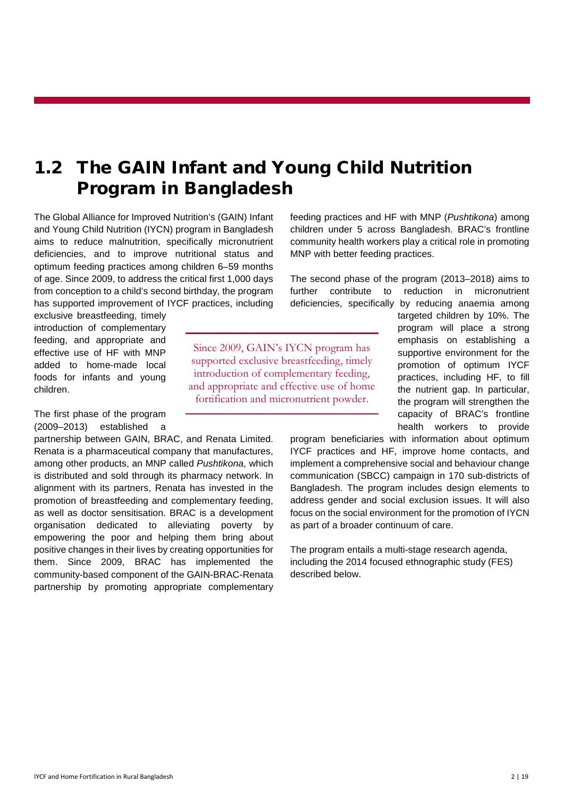#### <span id="page-4-0"></span>1.2 The GAIN Infant and Young Child Nutrition Program in Bangladesh

The Global Alliance for Improved Nutrition's (GAIN) Infant and Young Child Nutrition (IYCN) program in Bangladesh aims to reduce malnutrition, specifically micronutrient deficiencies, and to improve nutritional status and optimum feeding practices among children 6–59 months of age. Since 2009, to address the critical first 1,000 days from conception to a child's second birthday, the program has supported improvement of IYCF practices, including

exclusive breastfeeding, timely introduction of complementary feeding, and appropriate and effective use of HF with MNP added to home-made local foods for infants and young children.

The first phase of the program (2009–2013) established a

partnership between GAIN, BRAC, and Renata Limited. Renata is a pharmaceutical company that manufactures, among other products, an MNP called *Pushtikona*, which is distributed and sold through its pharmacy network. In alignment with its partners, Renata has invested in the promotion of breastfeeding and complementary feeding, as well as doctor sensitisation. BRAC is a development organisation dedicated to alleviating poverty by empowering the poor and helping them bring about positive changes in their lives by creating opportunities for them. Since 2009, BRAC has implemented the community-based component of the GAIN-BRAC-Renata partnership by promoting appropriate complementary feeding practices and HF with MNP (*Pushtikona*) among children under 5 across Bangladesh. BRAC's frontline community health workers play a critical role in promoting MNP with better feeding practices.

The second phase of the program (2013–2018) aims to further contribute to reduction in micronutrient deficiencies, specifically by reducing anaemia among

Since 2009, GAIN's IYCN program has supported exclusive breastfeeding, timely introduction of complementary feeding, and appropriate and effective use of home fortification and micronutrient powder.

targeted children by 10%. The program will place a strong emphasis on establishing a supportive environment for the promotion of optimum IYCF practices, including HF, to fill the nutrient gap. In particular, the program will strengthen the capacity of BRAC's frontline health workers to provide

program beneficiaries with information about optimum IYCF practices and HF, improve home contacts, and implement a comprehensive social and behaviour change communication (SBCC) campaign in 170 sub-districts of Bangladesh. The program includes design elements to address gender and social exclusion issues. It will also focus on the social environment for the promotion of IYCN as part of a broader continuum of care.

The program entails a multi-stage research agenda, including the 2014 focused ethnographic study (FES) described below.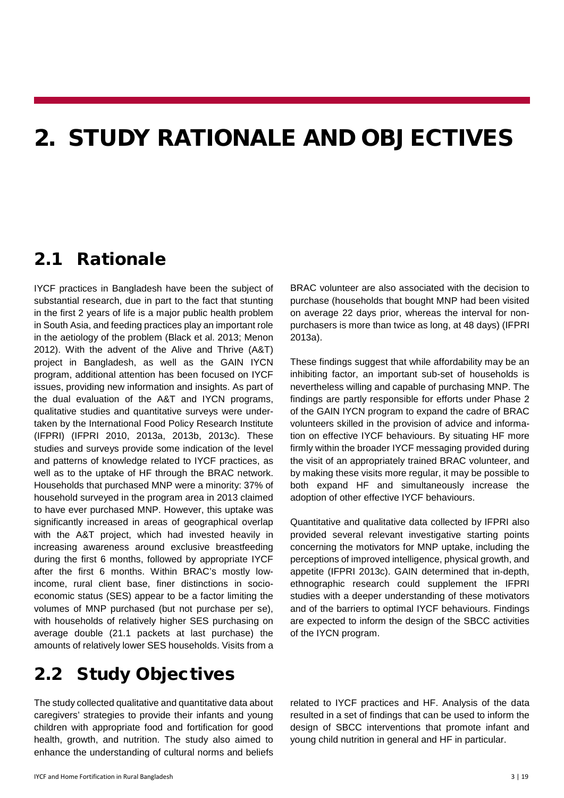### <span id="page-5-0"></span>2. STUDY RATIONALE AND OBJECTIVES

#### <span id="page-5-1"></span>2.1 Rationale

IYCF practices in Bangladesh have been the subject of substantial research, due in part to the fact that stunting in the first 2 years of life is a major public health problem in South Asia, and feeding practices play an important role in the aetiology of the problem (Black et al. 2013; Menon 2012). With the advent of the Alive and Thrive (A&T) project in Bangladesh, as well as the GAIN IYCN program, additional attention has been focused on IYCF issues, providing new information and insights. As part of the dual evaluation of the A&T and IYCN programs, qualitative studies and quantitative surveys were undertaken by the International Food Policy Research Institute (IFPRI) (IFPRI 2010, 2013a, 2013b, 2013c). These studies and surveys provide some indication of the level and patterns of knowledge related to IYCF practices, as well as to the uptake of HF through the BRAC network. Households that purchased MNP were a minority: 37% of household surveyed in the program area in 2013 claimed to have ever purchased MNP. However, this uptake was significantly increased in areas of geographical overlap with the A&T project, which had invested heavily in increasing awareness around exclusive breastfeeding during the first 6 months, followed by appropriate IYCF after the first 6 months. Within BRAC's mostly lowincome, rural client base, finer distinctions in socioeconomic status (SES) appear to be a factor limiting the volumes of MNP purchased (but not purchase per se), with households of relatively higher SES purchasing on average double (21.1 packets at last purchase) the amounts of relatively lower SES households. Visits from a

BRAC volunteer are also associated with the decision to purchase (households that bought MNP had been visited on average 22 days prior, whereas the interval for nonpurchasers is more than twice as long, at 48 days) (IFPRI 2013a).

These findings suggest that while affordability may be an inhibiting factor, an important sub-set of households is nevertheless willing and capable of purchasing MNP. The findings are partly responsible for efforts under Phase 2 of the GAIN IYCN program to expand the cadre of BRAC volunteers skilled in the provision of advice and information on effective IYCF behaviours. By situating HF more firmly within the broader IYCF messaging provided during the visit of an appropriately trained BRAC volunteer, and by making these visits more regular, it may be possible to both expand HF and simultaneously increase the adoption of other effective IYCF behaviours.

Quantitative and qualitative data collected by IFPRI also provided several relevant investigative starting points concerning the motivators for MNP uptake, including the perceptions of improved intelligence, physical growth, and appetite (IFPRI 2013c). GAIN determined that in-depth, ethnographic research could supplement the IFPRI studies with a deeper understanding of these motivators and of the barriers to optimal IYCF behaviours. Findings are expected to inform the design of the SBCC activities of the IYCN program.

#### <span id="page-5-2"></span>2.2 Study Objectives

The study collected qualitative and quantitative data about caregivers' strategies to provide their infants and young children with appropriate food and fortification for good health, growth, and nutrition. The study also aimed to enhance the understanding of cultural norms and beliefs

related to IYCF practices and HF. Analysis of the data resulted in a set of findings that can be used to inform the design of SBCC interventions that promote infant and young child nutrition in general and HF in particular.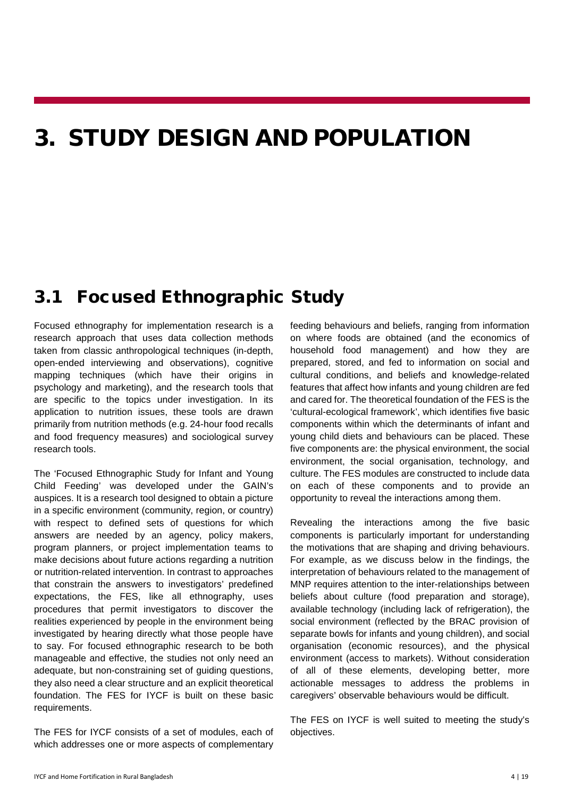### <span id="page-6-0"></span>3. STUDY DESIGN AND POPULATION

#### <span id="page-6-1"></span>3.1 Focused Ethnographic Study

Focused ethnography for implementation research is a research approach that uses data collection methods taken from classic anthropological techniques (in-depth, open-ended interviewing and observations), cognitive mapping techniques (which have their origins in psychology and marketing), and the research tools that are specific to the topics under investigation. In its application to nutrition issues, these tools are drawn primarily from nutrition methods (e.g. 24-hour food recalls and food frequency measures) and sociological survey research tools.

The 'Focused Ethnographic Study for Infant and Young Child Feeding' was developed under the GAIN's auspices. It is a research tool designed to obtain a picture in a specific environment (community, region, or country) with respect to defined sets of questions for which answers are needed by an agency, policy makers, program planners, or project implementation teams to make decisions about future actions regarding a nutrition or nutrition-related intervention. In contrast to approaches that constrain the answers to investigators' predefined expectations, the FES, like all ethnography, uses procedures that permit investigators to discover the realities experienced by people in the environment being investigated by hearing directly what those people have to say. For focused ethnographic research to be both manageable and effective, the studies not only need an adequate, but non-constraining set of guiding questions, they also need a clear structure and an explicit theoretical foundation. The FES for IYCF is built on these basic requirements.

The FES for IYCF consists of a set of modules, each of which addresses one or more aspects of complementary

feeding behaviours and beliefs, ranging from information on where foods are obtained (and the economics of household food management) and how they are prepared, stored, and fed to information on social and cultural conditions, and beliefs and knowledge-related features that affect how infants and young children are fed and cared for. The theoretical foundation of the FES is the 'cultural-ecological framework', which identifies five basic components within which the determinants of infant and young child diets and behaviours can be placed. These five components are: the physical environment, the social environment, the social organisation, technology, and culture. The FES modules are constructed to include data on each of these components and to provide an opportunity to reveal the interactions among them.

Revealing the interactions among the five basic components is particularly important for understanding the motivations that are shaping and driving behaviours. For example, as we discuss below in the findings, the interpretation of behaviours related to the management of MNP requires attention to the inter-relationships between beliefs about culture (food preparation and storage), available technology (including lack of refrigeration), the social environment (reflected by the BRAC provision of separate bowls for infants and young children), and social organisation (economic resources), and the physical environment (access to markets). Without consideration of all of these elements, developing better, more actionable messages to address the problems in caregivers' observable behaviours would be difficult.

The FES on IYCF is well suited to meeting the study's objectives.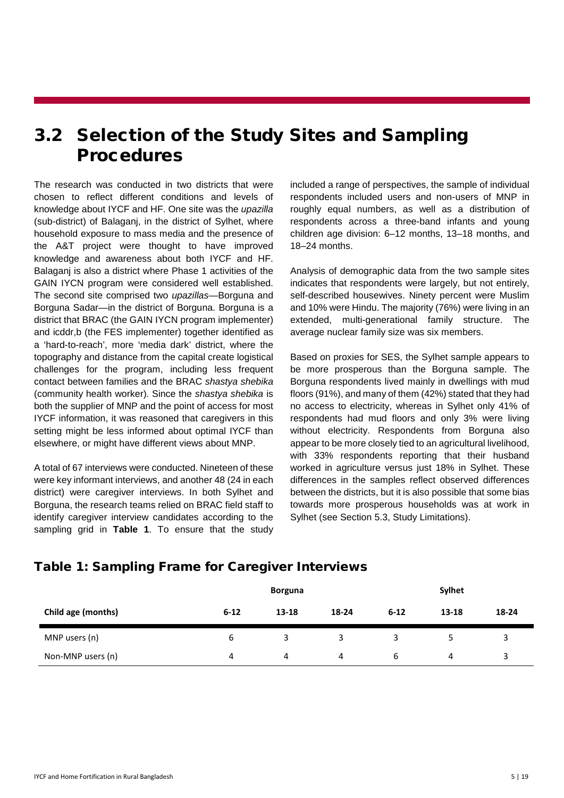#### <span id="page-7-0"></span>3.2 Selection of the Study Sites and Sampling **Procedures**

The research was conducted in two districts that were chosen to reflect different conditions and levels of knowledge about IYCF and HF. One site was the *upazilla* (sub-district) of Balaganj, in the district of Sylhet, where household exposure to mass media and the presence of the A&T project were thought to have improved knowledge and awareness about both IYCF and HF. Balaganj is also a district where Phase 1 activities of the GAIN IYCN program were considered well established. The second site comprised two *upazillas—*Borguna and Borguna Sadar—in the district of Borguna. Borguna is a district that BRAC (the GAIN IYCN program implementer) and icddr,b (the FES implementer) together identified as a 'hard-to-reach', more 'media dark' district, where the topography and distance from the capital create logistical challenges for the program, including less frequent contact between families and the BRAC *shastya shebika* (community health worker)*.* Since the *shastya shebika* is both the supplier of MNP and the point of access for most IYCF information, it was reasoned that caregivers in this setting might be less informed about optimal IYCF than elsewhere, or might have different views about MNP.

A total of 67 interviews were conducted. Nineteen of these were key informant interviews, and another 48 (24 in each district) were caregiver interviews. In both Sylhet and Borguna, the research teams relied on BRAC field staff to identify caregiver interview candidates according to the sampling grid in **Table 1**. To ensure that the study included a range of perspectives, the sample of individual respondents included users and non-users of MNP in roughly equal numbers, as well as a distribution of respondents across a three-band infants and young children age division: 6–12 months, 13–18 months, and 18–24 months.

Analysis of demographic data from the two sample sites indicates that respondents were largely, but not entirely, self-described housewives. Ninety percent were Muslim and 10% were Hindu. The majority (76%) were living in an extended, multi-generational family structure. The average nuclear family size was six members.

Based on proxies for SES, the Sylhet sample appears to be more prosperous than the Borguna sample. The Borguna respondents lived mainly in dwellings with mud floors (91%), and many of them (42%) stated that they had no access to electricity, whereas in Sylhet only 41% of respondents had mud floors and only 3% were living without electricity. Respondents from Borguna also appear to be more closely tied to an agricultural livelihood, with 33% respondents reporting that their husband worked in agriculture versus just 18% in Sylhet. These differences in the samples reflect observed differences between the districts, but it is also possible that some bias towards more prosperous households was at work in Sylhet (see Section 5.3, Study Limitations).

| Child age (months) |          | <b>Borguna</b> |       |          | <b>Sylhet</b> |              |  |
|--------------------|----------|----------------|-------|----------|---------------|--------------|--|
|                    | $6 - 12$ | $13 - 18$      | 18-24 | $6 - 12$ | 13-18         | 18-24        |  |
| MNP users (n)      | 6        | 3              | ₹     | 2        |               |              |  |
| Non-MNP users (n)  | 4        | 4              | 4     | b        | 4             | $\mathbf{a}$ |  |

#### Table 1: Sampling Frame for Caregiver Interviews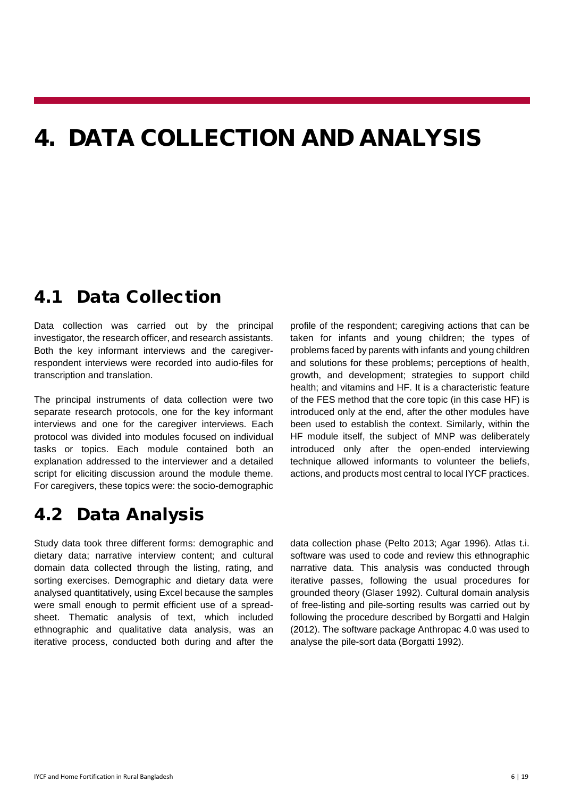### <span id="page-8-0"></span>4. DATA COLLECTION AND ANALYSIS

#### <span id="page-8-1"></span>4.1 Data Collection

Data collection was carried out by the principal investigator, the research officer, and research assistants. Both the key informant interviews and the caregiverrespondent interviews were recorded into audio-files for transcription and translation.

The principal instruments of data collection were two separate research protocols, one for the key informant interviews and one for the caregiver interviews. Each protocol was divided into modules focused on individual tasks or topics. Each module contained both an explanation addressed to the interviewer and a detailed script for eliciting discussion around the module theme. For caregivers, these topics were: the socio-demographic profile of the respondent; caregiving actions that can be taken for infants and young children; the types of problems faced by parents with infants and young children and solutions for these problems; perceptions of health, growth, and development; strategies to support child health; and vitamins and HF. It is a characteristic feature of the FES method that the core topic (in this case HF) is introduced only at the end, after the other modules have been used to establish the context. Similarly, within the HF module itself, the subject of MNP was deliberately introduced only after the open-ended interviewing technique allowed informants to volunteer the beliefs, actions, and products most central to local IYCF practices.

#### <span id="page-8-2"></span>4.2 Data Analysis

Study data took three different forms: demographic and dietary data; narrative interview content; and cultural domain data collected through the listing, rating, and sorting exercises. Demographic and dietary data were analysed quantitatively, using Excel because the samples were small enough to permit efficient use of a spreadsheet. Thematic analysis of text, which included ethnographic and qualitative data analysis, was an iterative process, conducted both during and after the

data collection phase (Pelto 2013; Agar 1996). Atlas t.i. software was used to code and review this ethnographic narrative data. This analysis was conducted through iterative passes, following the usual procedures for grounded theory (Glaser 1992). Cultural domain analysis of free-listing and pile-sorting results was carried out by following the procedure described by Borgatti and Halgin (2012). The software package Anthropac 4.0 was used to analyse the pile-sort data (Borgatti 1992).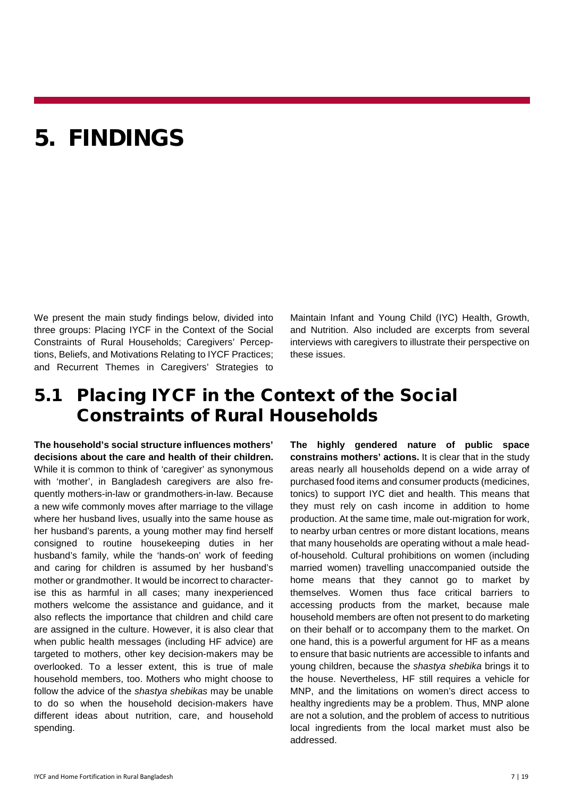### <span id="page-9-0"></span>5. FINDINGS

We present the main study findings below, divided into three groups: Placing IYCF in the Context of the Social Constraints of Rural Households; Caregivers' Perceptions, Beliefs, and Motivations Relating to IYCF Practices; and Recurrent Themes in Caregivers' Strategies to Maintain Infant and Young Child (IYC) Health, Growth, and Nutrition. Also included are excerpts from several interviews with caregivers to illustrate their perspective on these issues.

#### <span id="page-9-1"></span>5.1 Placing IYCF in the Context of the Social Constraints of Rural Households

**The household's social structure influences mothers' decisions about the care and health of their children.**  While it is common to think of 'caregiver' as synonymous with 'mother', in Bangladesh caregivers are also frequently mothers-in-law or grandmothers-in-law. Because a new wife commonly moves after marriage to the village where her husband lives, usually into the same house as her husband's parents, a young mother may find herself consigned to routine housekeeping duties in her husband's family, while the 'hands-on' work of feeding and caring for children is assumed by her husband's mother or grandmother. It would be incorrect to characterise this as harmful in all cases; many inexperienced mothers welcome the assistance and guidance, and it also reflects the importance that children and child care are assigned in the culture. However, it is also clear that when public health messages (including HF advice) are targeted to mothers, other key decision-makers may be overlooked. To a lesser extent, this is true of male household members, too. Mothers who might choose to follow the advice of the *shastya shebikas* may be unable to do so when the household decision-makers have different ideas about nutrition, care, and household spending.

**The highly gendered nature of public space constrains mothers' actions.** It is clear that in the study areas nearly all households depend on a wide array of purchased food items and consumer products (medicines, tonics) to support IYC diet and health. This means that they must rely on cash income in addition to home production. At the same time, male out-migration for work, to nearby urban centres or more distant locations, means that many households are operating without a male headof-household. Cultural prohibitions on women (including married women) travelling unaccompanied outside the home means that they cannot go to market by themselves. Women thus face critical barriers to accessing products from the market, because male household members are often not present to do marketing on their behalf or to accompany them to the market. On one hand, this is a powerful argument for HF as a means to ensure that basic nutrients are accessible to infants and young children, because the *shastya shebika* brings it to the house. Nevertheless, HF still requires a vehicle for MNP, and the limitations on women's direct access to healthy ingredients may be a problem. Thus, MNP alone are not a solution, and the problem of access to nutritious local ingredients from the local market must also be addressed.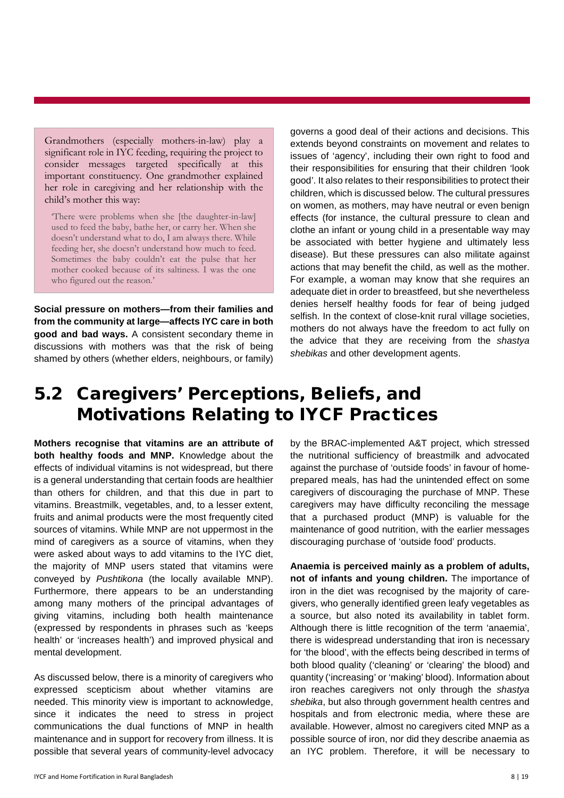Grandmothers (especially mothers-in-law) play a significant role in IYC feeding, requiring the project to consider messages targeted specifically at this important constituency. One grandmother explained her role in caregiving and her relationship with the child's mother this way:

'There were problems when she [the daughter-in-law] used to feed the baby, bathe her, or carry her. When she doesn't understand what to do, I am always there. While feeding her, she doesn't understand how much to feed. Sometimes the baby couldn't eat the pulse that her mother cooked because of its saltiness. I was the one who figured out the reason.'

**Social pressure on mothers—from their families and from the community at large—affects IYC care in both good and bad ways.** A consistent secondary theme in discussions with mothers was that the risk of being shamed by others (whether elders, neighbours, or family)

governs a good deal of their actions and decisions. This extends beyond constraints on movement and relates to issues of 'agency', including their own right to food and their responsibilities for ensuring that their children 'look good'. It also relates to their responsibilities to protect their children, which is discussed below. The cultural pressures on women, as mothers, may have neutral or even benign effects (for instance, the cultural pressure to clean and clothe an infant or young child in a presentable way may be associated with better hygiene and ultimately less disease). But these pressures can also militate against actions that may benefit the child, as well as the mother. For example, a woman may know that she requires an adequate diet in order to breastfeed, but she nevertheless denies herself healthy foods for fear of being judged selfish. In the context of close-knit rural village societies, mothers do not always have the freedom to act fully on the advice that they are receiving from the *shastya shebikas* and other development agents.

#### <span id="page-10-0"></span>5.2 Caregivers' Perceptions, Beliefs, and Motivations Relating to IYCF Practices

**Mothers recognise that vitamins are an attribute of both healthy foods and MNP.** Knowledge about the effects of individual vitamins is not widespread, but there is a general understanding that certain foods are healthier than others for children, and that this due in part to vitamins. Breastmilk, vegetables, and, to a lesser extent, fruits and animal products were the most frequently cited sources of vitamins. While MNP are not uppermost in the mind of caregivers as a source of vitamins, when they were asked about ways to add vitamins to the IYC diet, the majority of MNP users stated that vitamins were conveyed by *Pushtikona* (the locally available MNP). Furthermore, there appears to be an understanding among many mothers of the principal advantages of giving vitamins, including both health maintenance (expressed by respondents in phrases such as 'keeps health' or 'increases health') and improved physical and mental development.

As discussed below, there is a minority of caregivers who expressed scepticism about whether vitamins are needed. This minority view is important to acknowledge, since it indicates the need to stress in project communications the dual functions of MNP in health maintenance and in support for recovery from illness. It is possible that several years of community-level advocacy

IYCF and Home Fortification in Rural Bangladesh 8 | 19

by the BRAC-implemented A&T project, which stressed the nutritional sufficiency of breastmilk and advocated against the purchase of 'outside foods' in favour of homeprepared meals, has had the unintended effect on some caregivers of discouraging the purchase of MNP. These caregivers may have difficulty reconciling the message that a purchased product (MNP) is valuable for the maintenance of good nutrition, with the earlier messages discouraging purchase of 'outside food' products.

**Anaemia is perceived mainly as a problem of adults, not of infants and young children.** The importance of iron in the diet was recognised by the majority of caregivers, who generally identified green leafy vegetables as a source, but also noted its availability in tablet form. Although there is little recognition of the term 'anaemia', there is widespread understanding that iron is necessary for 'the blood', with the effects being described in terms of both blood quality ('cleaning' or 'clearing' the blood) and quantity ('increasing' or 'making' blood). Information about iron reaches caregivers not only through the *shastya shebika*, but also through government health centres and hospitals and from electronic media, where these are available. However, almost no caregivers cited MNP as a possible source of iron, nor did they describe anaemia as an IYC problem. Therefore, it will be necessary to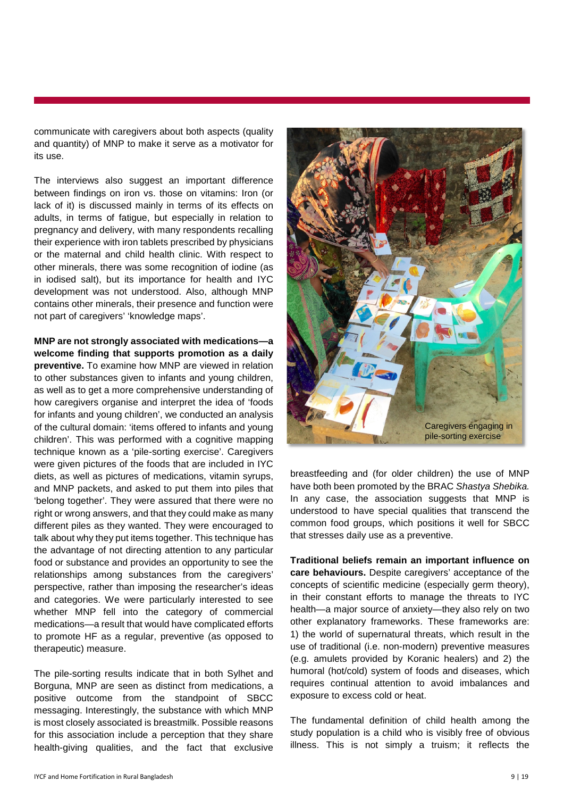communicate with caregivers about both aspects (quality and quantity) of MNP to make it serve as a motivator for its use.

The interviews also suggest an important difference between findings on iron vs. those on vitamins: Iron (or lack of it) is discussed mainly in terms of its effects on adults, in terms of fatigue, but especially in relation to pregnancy and delivery, with many respondents recalling their experience with iron tablets prescribed by physicians or the maternal and child health clinic. With respect to other minerals, there was some recognition of iodine (as in iodised salt), but its importance for health and IYC development was not understood. Also, although MNP contains other minerals, their presence and function were not part of caregivers' 'knowledge maps'.

**MNP are not strongly associated with medications—a welcome finding that supports promotion as a daily preventive.** To examine how MNP are viewed in relation to other substances given to infants and young children, as well as to get a more comprehensive understanding of how caregivers organise and interpret the idea of 'foods for infants and young children', we conducted an analysis of the cultural domain: 'items offered to infants and young children'. This was performed with a cognitive mapping technique known as a 'pile-sorting exercise'. Caregivers were given pictures of the foods that are included in IYC diets, as well as pictures of medications, vitamin syrups, and MNP packets, and asked to put them into piles that 'belong together'. They were assured that there were no right or wrong answers, and that they could make as many different piles as they wanted. They were encouraged to talk about why they put items together. This technique has the advantage of not directing attention to any particular food or substance and provides an opportunity to see the relationships among substances from the caregivers' perspective, rather than imposing the researcher's ideas and categories. We were particularly interested to see whether MNP fell into the category of commercial medications—a result that would have complicated efforts to promote HF as a regular, preventive (as opposed to therapeutic) measure.

The pile-sorting results indicate that in both Sylhet and Borguna, MNP are seen as distinct from medications, a positive outcome from the standpoint of SBCC messaging. Interestingly, the substance with which MNP is most closely associated is breastmilk. Possible reasons for this association include a perception that they share health-giving qualities, and the fact that exclusive



breastfeeding and (for older children) the use of MNP have both been promoted by the BRAC *Shastya Shebika.*  In any case, the association suggests that MNP is understood to have special qualities that transcend the common food groups, which positions it well for SBCC that stresses daily use as a preventive.

**Traditional beliefs remain an important influence on care behaviours.** Despite caregivers' acceptance of the concepts of scientific medicine (especially germ theory), in their constant efforts to manage the threats to IYC health—a major source of anxiety—they also rely on two other explanatory frameworks. These frameworks are: 1) the world of supernatural threats, which result in the use of traditional (i.e. non-modern) preventive measures (e.g. amulets provided by Koranic healers) and 2) the humoral (hot/cold) system of foods and diseases, which requires continual attention to avoid imbalances and exposure to excess cold or heat.

The fundamental definition of child health among the study population is a child who is visibly free of obvious illness. This is not simply a truism; it reflects the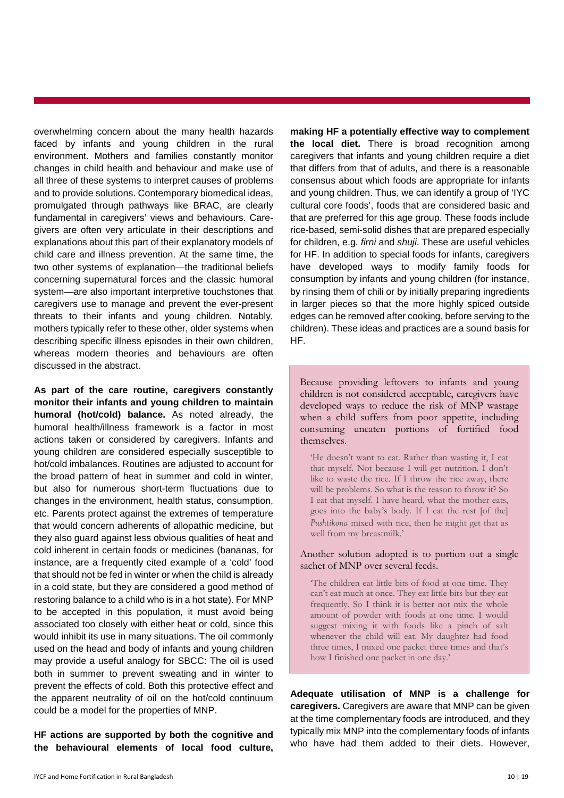overwhelming concern about the many health hazards faced by infants and young children in the rural environment. Mothers and families constantly monitor changes in child health and behaviour and make use of all three of these systems to interpret causes of problems and to provide solutions. Contemporary biomedical ideas, promulgated through pathways like BRAC, are clearly fundamental in caregivers' views and behaviours. Caregivers are often very articulate in their descriptions and explanations about this part of their explanatory models of child care and illness prevention. At the same time, the two other systems of explanation—the traditional beliefs concerning supernatural forces and the classic humoral system—are also important interpretive touchstones that caregivers use to manage and prevent the ever-present threats to their infants and young children. Notably, mothers typically refer to these other, older systems when describing specific illness episodes in their own children, whereas modern theories and behaviours are often discussed in the abstract.

**As part of the care routine, caregivers constantly monitor their infants and young children to maintain humoral (hot/cold) balance.** As noted already, the humoral health/illness framework is a factor in most actions taken or considered by caregivers. Infants and young children are considered especially susceptible to hot/cold imbalances. Routines are adjusted to account for the broad pattern of heat in summer and cold in winter, but also for numerous short-term fluctuations due to changes in the environment, health status, consumption, etc. Parents protect against the extremes of temperature that would concern adherents of allopathic medicine, but they also guard against less obvious qualities of heat and cold inherent in certain foods or medicines (bananas, for instance, are a frequently cited example of a 'cold' food that should not be fed in winter or when the child is already in a cold state, but they are considered a good method of restoring balance to a child who is in a hot state). For MNP to be accepted in this population, it must avoid being associated too closely with either heat or cold, since this would inhibit its use in many situations. The oil commonly used on the head and body of infants and young children may provide a useful analogy for SBCC: The oil is used both in summer to prevent sweating and in winter to prevent the effects of cold. Both this protective effect and the apparent neutrality of oil on the hot/cold continuum could be a model for the properties of MNP.

**HF actions are supported by both the cognitive and the behavioural elements of local food culture,** 

**making HF a potentially effective way to complement the local diet.** There is broad recognition among caregivers that infants and young children require a diet that differs from that of adults, and there is a reasonable consensus about which foods are appropriate for infants and young children. Thus, we can identify a group of 'IYC cultural core foods', foods that are considered basic and that are preferred for this age group. These foods include rice-based, semi-solid dishes that are prepared especially for children, e.g. *firni* and *shuji*. These are useful vehicles for HF. In addition to special foods for infants, caregivers have developed ways to modify family foods for consumption by infants and young children (for instance, by rinsing them of chili or by initially preparing ingredients in larger pieces so that the more highly spiced outside edges can be removed after cooking, before serving to the children). These ideas and practices are a sound basis for HF.

Because providing leftovers to infants and young children is not considered acceptable, caregivers have developed ways to reduce the risk of MNP wastage when a child suffers from poor appetite, including consuming uneaten portions of fortified food themselves.

'He doesn't want to eat. Rather than wasting it, I eat that myself. Not because I will get nutrition. I don't like to waste the rice. If I throw the rice away, there will be problems. So what is the reason to throw it? So I eat that myself. I have heard, what the mother eats, goes into the baby's body. If I eat the rest [of the] *Pushtikona* mixed with rice, then he might get that as well from my breastmilk.'

#### Another solution adopted is to portion out a single sachet of MNP over several feeds.

'The children eat little bits of food at one time. They can't eat much at once. They eat little bits but they eat frequently. So I think it is better not mix the whole amount of powder with foods at one time. I would suggest mixing it with foods like a pinch of salt whenever the child will eat. My daughter had food three times, I mixed one packet three times and that's how I finished one packet in one day.'

**Adequate utilisation of MNP is a challenge for caregivers.** Caregivers are aware that MNP can be given at the time complementary foods are introduced, and they typically mix MNP into the complementary foods of infants who have had them added to their diets. However,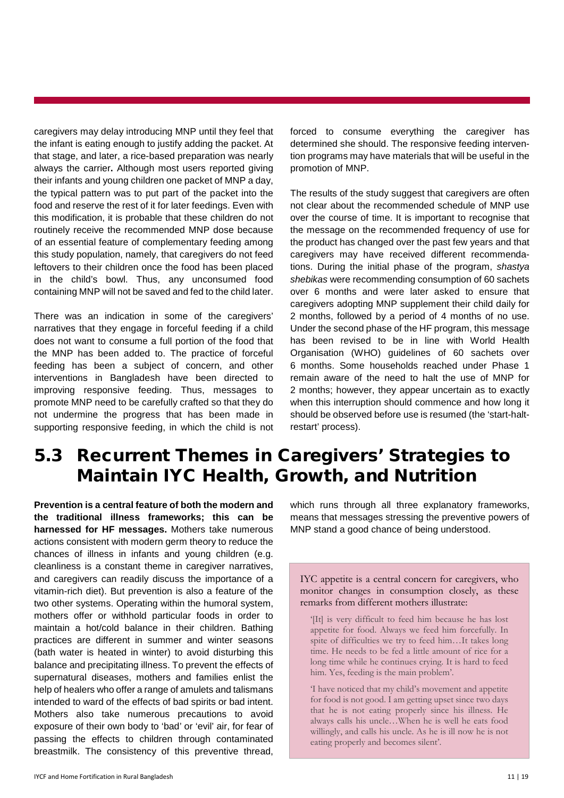caregivers may delay introducing MNP until they feel that the infant is eating enough to justify adding the packet. At that stage, and later, a rice-based preparation was nearly always the carrier**.** Although most users reported giving their infants and young children one packet of MNP a day, the typical pattern was to put part of the packet into the food and reserve the rest of it for later feedings. Even with this modification, it is probable that these children do not routinely receive the recommended MNP dose because of an essential feature of complementary feeding among this study population, namely, that caregivers do not feed leftovers to their children once the food has been placed in the child's bowl. Thus, any unconsumed food containing MNP will not be saved and fed to the child later.

There was an indication in some of the caregivers' narratives that they engage in forceful feeding if a child does not want to consume a full portion of the food that the MNP has been added to. The practice of forceful feeding has been a subject of concern, and other interventions in Bangladesh have been directed to improving responsive feeding. Thus, messages to promote MNP need to be carefully crafted so that they do not undermine the progress that has been made in supporting responsive feeding, in which the child is not

forced to consume everything the caregiver has determined she should. The responsive feeding intervention programs may have materials that will be useful in the promotion of MNP.

The results of the study suggest that caregivers are often not clear about the recommended schedule of MNP use over the course of time. It is important to recognise that the message on the recommended frequency of use for the product has changed over the past few years and that caregivers may have received different recommendations. During the initial phase of the program, *shastya shebikas* were recommending consumption of 60 sachets over 6 months and were later asked to ensure that caregivers adopting MNP supplement their child daily for 2 months, followed by a period of 4 months of no use. Under the second phase of the HF program, this message has been revised to be in line with World Health Organisation (WHO) guidelines of 60 sachets over 6 months. Some households reached under Phase 1 remain aware of the need to halt the use of MNP for 2 months; however, they appear uncertain as to exactly when this interruption should commence and how long it should be observed before use is resumed (the 'start-haltrestart' process).

#### <span id="page-13-0"></span>5.3 Recurrent Themes in Caregivers' Strategies to Maintain IYC Health, Growth, and Nutrition

**Prevention is a central feature of both the modern and the traditional illness frameworks; this can be harnessed for HF messages.** Mothers take numerous actions consistent with modern germ theory to reduce the chances of illness in infants and young children (e.g. cleanliness is a constant theme in caregiver narratives, and caregivers can readily discuss the importance of a vitamin-rich diet). But prevention is also a feature of the two other systems. Operating within the humoral system, mothers offer or withhold particular foods in order to maintain a hot/cold balance in their children. Bathing practices are different in summer and winter seasons (bath water is heated in winter) to avoid disturbing this balance and precipitating illness. To prevent the effects of supernatural diseases, mothers and families enlist the help of healers who offer a range of amulets and talismans intended to ward of the effects of bad spirits or bad intent. Mothers also take numerous precautions to avoid exposure of their own body to 'bad' or 'evil' air, for fear of passing the effects to children through contaminated breastmilk. The consistency of this preventive thread,

which runs through all three explanatory frameworks, means that messages stressing the preventive powers of MNP stand a good chance of being understood.

IYC appetite is a central concern for caregivers, who monitor changes in consumption closely, as these remarks from different mothers illustrate:

'[It] is very difficult to feed him because he has lost appetite for food. Always we feed him forcefully. In spite of difficulties we try to feed him…It takes long time. He needs to be fed a little amount of rice for a long time while he continues crying. It is hard to feed him. Yes, feeding is the main problem'.

'I have noticed that my child's movement and appetite for food is not good. I am getting upset since two days that he is not eating properly since his illness. He always calls his uncle…When he is well he eats food willingly, and calls his uncle. As he is ill now he is not eating properly and becomes silent'.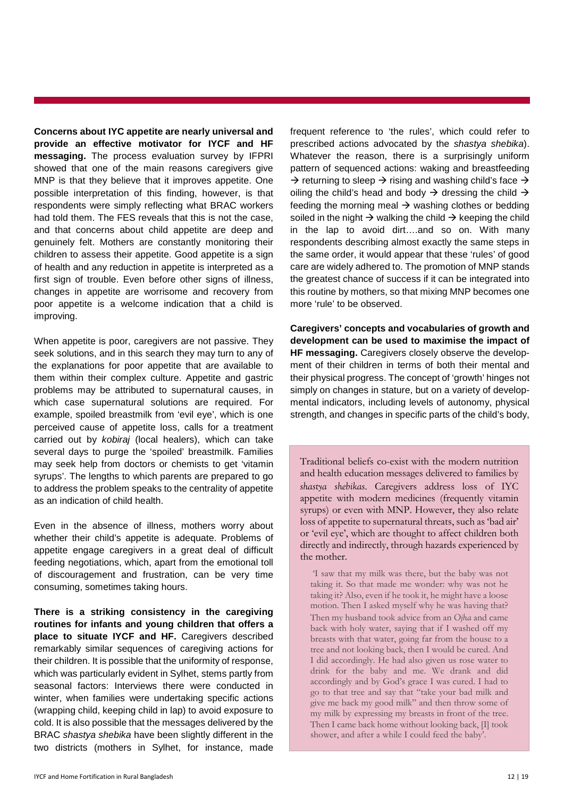**Concerns about IYC appetite are nearly universal and provide an effective motivator for IYCF and HF messaging.** The process evaluation survey by IFPRI showed that one of the main reasons caregivers give MNP is that they believe that it improves appetite. One possible interpretation of this finding, however, is that respondents were simply reflecting what BRAC workers had told them. The FES reveals that this is not the case, and that concerns about child appetite are deep and genuinely felt. Mothers are constantly monitoring their children to assess their appetite. Good appetite is a sign of health and any reduction in appetite is interpreted as a first sign of trouble. Even before other signs of illness, changes in appetite are worrisome and recovery from poor appetite is a welcome indication that a child is improving.

When appetite is poor, caregivers are not passive. They seek solutions, and in this search they may turn to any of the explanations for poor appetite that are available to them within their complex culture. Appetite and gastric problems may be attributed to supernatural causes, in which case supernatural solutions are required. For example, spoiled breastmilk from 'evil eye', which is one perceived cause of appetite loss, calls for a treatment carried out by *kobiraj* (local healers), which can take several days to purge the 'spoiled' breastmilk. Families may seek help from doctors or chemists to get 'vitamin syrups'. The lengths to which parents are prepared to go to address the problem speaks to the centrality of appetite as an indication of child health.

Even in the absence of illness, mothers worry about whether their child's appetite is adequate. Problems of appetite engage caregivers in a great deal of difficult feeding negotiations, which, apart from the emotional toll of discouragement and frustration, can be very time consuming, sometimes taking hours.

**There is a striking consistency in the caregiving routines for infants and young children that offers a place to situate IYCF and HF.** Caregivers described remarkably similar sequences of caregiving actions for their children. It is possible that the uniformity of response, which was particularly evident in Sylhet, stems partly from seasonal factors: Interviews there were conducted in winter, when families were undertaking specific actions (wrapping child, keeping child in lap) to avoid exposure to cold. It is also possible that the messages delivered by the BRAC *shastya shebika* have been slightly different in the two districts (mothers in Sylhet, for instance, made

frequent reference to 'the rules', which could refer to prescribed actions advocated by the *shastya shebika*). Whatever the reason, there is a surprisingly uniform pattern of sequenced actions: waking and breastfeeding  $\rightarrow$  returning to sleep  $\rightarrow$  rising and washing child's face  $\rightarrow$ oiling the child's head and body  $\rightarrow$  dressing the child  $\rightarrow$ feeding the morning meal  $\rightarrow$  washing clothes or bedding soiled in the night  $\rightarrow$  walking the child  $\rightarrow$  keeping the child in the lap to avoid dirt….and so on. With many respondents describing almost exactly the same steps in the same order, it would appear that these 'rules' of good care are widely adhered to. The promotion of MNP stands the greatest chance of success if it can be integrated into this routine by mothers, so that mixing MNP becomes one more 'rule' to be observed.

**Caregivers' concepts and vocabularies of growth and development can be used to maximise the impact of HF messaging.** Caregivers closely observe the development of their children in terms of both their mental and their physical progress. The concept of 'growth' hinges not simply on changes in stature, but on a variety of developmental indicators, including levels of autonomy, physical strength, and changes in specific parts of the child's body,

Traditional beliefs co-exist with the modern nutrition and health education messages delivered to families by *shastya shebikas*. Caregivers address loss of IYC appetite with modern medicines (frequently vitamin syrups) or even with MNP. However, they also relate loss of appetite to supernatural threats, such as 'bad air' or 'evil eye', which are thought to affect children both directly and indirectly, through hazards experienced by the mother.

'I saw that my milk was there, but the baby was not taking it. So that made me wonder: why was not he taking it? Also, even if he took it, he might have a loose motion. Then I asked myself why he was having that? Then my husband took advice from an *Ojha* and came back with holy water, saying that if I washed off my breasts with that water, going far from the house to a tree and not looking back, then I would be cured. And I did accordingly. He had also given us rose water to drink for the baby and me. We drank and did accordingly and by God's grace I was cured. I had to go to that tree and say that "take your bad milk and give me back my good milk" and then throw some of my milk by expressing my breasts in front of the tree. Then I came back home without looking back, [I] took shower, and after a while I could feed the baby'.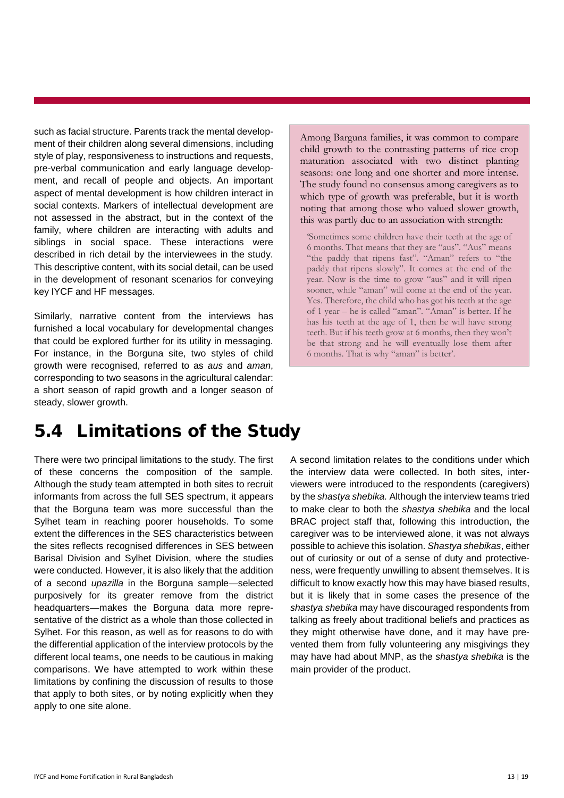such as facial structure. Parents track the mental development of their children along several dimensions, including style of play, responsiveness to instructions and requests, pre-verbal communication and early language development, and recall of people and objects. An important aspect of mental development is how children interact in social contexts. Markers of intellectual development are not assessed in the abstract, but in the context of the family, where children are interacting with adults and siblings in social space. These interactions were described in rich detail by the interviewees in the study. This descriptive content, with its social detail, can be used in the development of resonant scenarios for conveying key IYCF and HF messages.

Similarly, narrative content from the interviews has furnished a local vocabulary for developmental changes that could be explored further for its utility in messaging. For instance, in the Borguna site, two styles of child growth were recognised, referred to as *aus* and *aman*, corresponding to two seasons in the agricultural calendar: a short season of rapid growth and a longer season of steady, slower growth.

Among Barguna families, it was common to compare child growth to the contrasting patterns of rice crop maturation associated with two distinct planting seasons: one long and one shorter and more intense. The study found no consensus among caregivers as to which type of growth was preferable, but it is worth noting that among those who valued slower growth, this was partly due to an association with strength:

'Sometimes some children have their teeth at the age of 6 months. That means that they are "aus". "Aus" means "the paddy that ripens fast". "Aman" refers to "the paddy that ripens slowly". It comes at the end of the year. Now is the time to grow "aus" and it will ripen sooner, while "aman" will come at the end of the year. Yes. Therefore, the child who has got his teeth at the age of 1 year – he is called "aman". "Aman" is better. If he has his teeth at the age of 1, then he will have strong teeth. But if his teeth grow at 6 months, then they won't be that strong and he will eventually lose them after 6 months. That is why "aman" is better'.

#### <span id="page-15-0"></span>5.4 Limitations of the Study

There were two principal limitations to the study. The first of these concerns the composition of the sample. Although the study team attempted in both sites to recruit informants from across the full SES spectrum, it appears that the Borguna team was more successful than the Sylhet team in reaching poorer households. To some extent the differences in the SES characteristics between the sites reflects recognised differences in SES between Barisal Division and Sylhet Division, where the studies were conducted. However, it is also likely that the addition of a second *upazilla* in the Borguna sample—selected purposively for its greater remove from the district headquarters—makes the Borguna data more representative of the district as a whole than those collected in Sylhet. For this reason, as well as for reasons to do with the differential application of the interview protocols by the different local teams, one needs to be cautious in making comparisons. We have attempted to work within these limitations by confining the discussion of results to those that apply to both sites, or by noting explicitly when they apply to one site alone.

A second limitation relates to the conditions under which the interview data were collected. In both sites, interviewers were introduced to the respondents (caregivers) by the *shastya shebika.* Although the interview teams tried to make clear to both the *shastya shebika* and the local BRAC project staff that, following this introduction, the caregiver was to be interviewed alone, it was not always possible to achieve this isolation. *Shastya shebikas*, either out of curiosity or out of a sense of duty and protectiveness, were frequently unwilling to absent themselves. It is difficult to know exactly how this may have biased results, but it is likely that in some cases the presence of the *shastya shebika* may have discouraged respondents from talking as freely about traditional beliefs and practices as they might otherwise have done, and it may have prevented them from fully volunteering any misgivings they may have had about MNP, as the *shastya shebika* is the main provider of the product.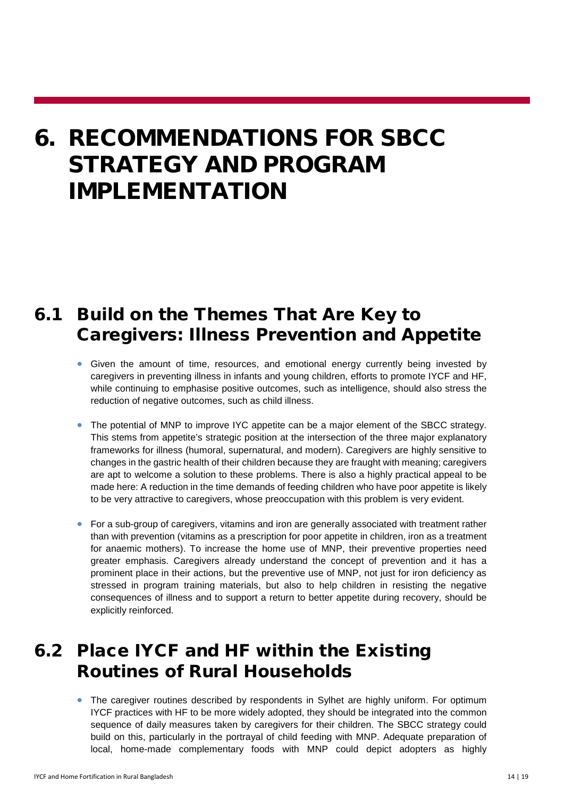### <span id="page-16-0"></span>6. RECOMMENDATIONS FOR SBCC STRATEGY AND PROGRAM IMPLEMENTATION

### <span id="page-16-1"></span>6.1 Build on the Themes That Are Key to Caregivers: Illness Prevention and Appetite

- Given the amount of time, resources, and emotional energy currently being invested by caregivers in preventing illness in infants and young children, efforts to promote IYCF and HF, while continuing to emphasise positive outcomes, such as intelligence, should also stress the reduction of negative outcomes, such as child illness.
- The potential of MNP to improve IYC appetite can be a major element of the SBCC strategy. This stems from appetite's strategic position at the intersection of the three major explanatory frameworks for illness (humoral, supernatural, and modern). Caregivers are highly sensitive to changes in the gastric health of their children because they are fraught with meaning; caregivers are apt to welcome a solution to these problems. There is also a highly practical appeal to be made here: A reduction in the time demands of feeding children who have poor appetite is likely to be very attractive to caregivers, whose preoccupation with this problem is very evident.
- For a sub-group of caregivers, vitamins and iron are generally associated with treatment rather than with prevention (vitamins as a prescription for poor appetite in children, iron as a treatment for anaemic mothers). To increase the home use of MNP, their preventive properties need greater emphasis. Caregivers already understand the concept of prevention and it has a prominent place in their actions, but the preventive use of MNP, not just for iron deficiency as stressed in program training materials, but also to help children in resisting the negative consequences of illness and to support a return to better appetite during recovery, should be explicitly reinforced.

### <span id="page-16-2"></span>6.2 Place IYCF and HF within the Existing Routines of Rural Households

• The caregiver routines described by respondents in Sylhet are highly uniform. For optimum IYCF practices with HF to be more widely adopted, they should be integrated into the common sequence of daily measures taken by caregivers for their children. The SBCC strategy could build on this, particularly in the portrayal of child feeding with MNP. Adequate preparation of local, home-made complementary foods with MNP could depict adopters as highly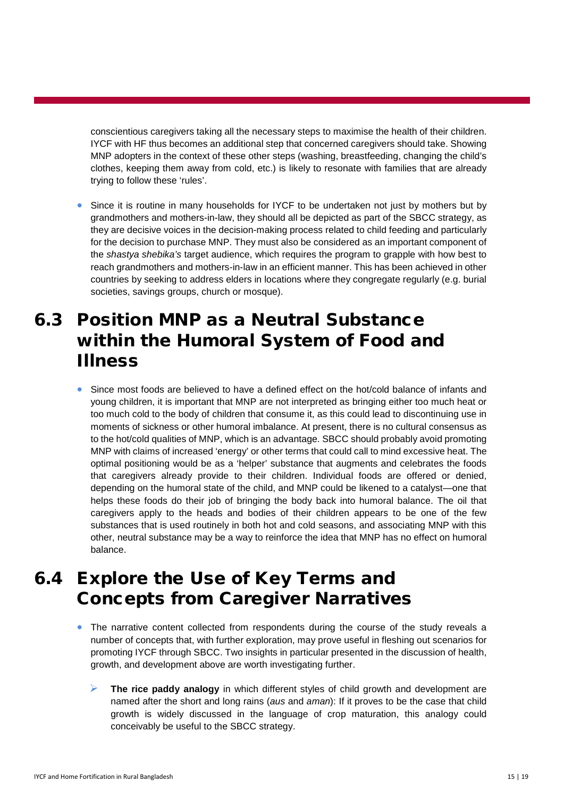conscientious caregivers taking all the necessary steps to maximise the health of their children. IYCF with HF thus becomes an additional step that concerned caregivers should take. Showing MNP adopters in the context of these other steps (washing, breastfeeding, changing the child's clothes, keeping them away from cold, etc.) is likely to resonate with families that are already trying to follow these 'rules'.

• Since it is routine in many households for IYCF to be undertaken not just by mothers but by grandmothers and mothers-in-law, they should all be depicted as part of the SBCC strategy, as they are decisive voices in the decision-making process related to child feeding and particularly for the decision to purchase MNP. They must also be considered as an important component of the *shastya shebika's* target audience, which requires the program to grapple with how best to reach grandmothers and mothers-in-law in an efficient manner. This has been achieved in other countries by seeking to address elders in locations where they congregate regularly (e.g. burial societies, savings groups, church or mosque).

### <span id="page-17-0"></span>6.3 Position MNP as a Neutral Substance within the Humoral System of Food and Illness

• Since most foods are believed to have a defined effect on the hot/cold balance of infants and young children, it is important that MNP are not interpreted as bringing either too much heat or too much cold to the body of children that consume it, as this could lead to discontinuing use in moments of sickness or other humoral imbalance. At present, there is no cultural consensus as to the hot/cold qualities of MNP, which is an advantage. SBCC should probably avoid promoting MNP with claims of increased 'energy' or other terms that could call to mind excessive heat. The optimal positioning would be as a 'helper' substance that augments and celebrates the foods that caregivers already provide to their children. Individual foods are offered or denied, depending on the humoral state of the child, and MNP could be likened to a catalyst—one that helps these foods do their job of bringing the body back into humoral balance. The oil that caregivers apply to the heads and bodies of their children appears to be one of the few substances that is used routinely in both hot and cold seasons, and associating MNP with this other, neutral substance may be a way to reinforce the idea that MNP has no effect on humoral balance.

### <span id="page-17-1"></span>6.4 Explore the Use of Key Terms and Concepts from Caregiver Narratives

- The narrative content collected from respondents during the course of the study reveals a number of concepts that, with further exploration, may prove useful in fleshing out scenarios for promoting IYCF through SBCC. Two insights in particular presented in the discussion of health, growth, and development above are worth investigating further.
	- **The rice paddy analogy** in which different styles of child growth and development are named after the short and long rains (*aus* and *aman*): If it proves to be the case that child growth is widely discussed in the language of crop maturation, this analogy could conceivably be useful to the SBCC strategy.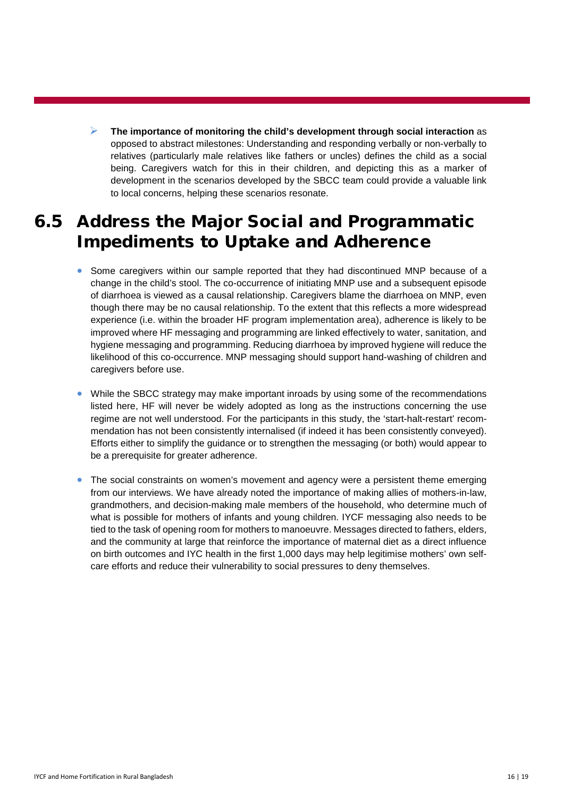**The importance of monitoring the child's development through social interaction** as opposed to abstract milestones: Understanding and responding verbally or non-verbally to relatives (particularly male relatives like fathers or uncles) defines the child as a social being. Caregivers watch for this in their children, and depicting this as a marker of development in the scenarios developed by the SBCC team could provide a valuable link to local concerns, helping these scenarios resonate.

### <span id="page-18-0"></span>6.5 Address the Major Social and Programmatic Impediments to Uptake and Adherence

- Some caregivers within our sample reported that they had discontinued MNP because of a change in the child's stool. The co-occurrence of initiating MNP use and a subsequent episode of diarrhoea is viewed as a causal relationship. Caregivers blame the diarrhoea on MNP, even though there may be no causal relationship. To the extent that this reflects a more widespread experience (i.e. within the broader HF program implementation area), adherence is likely to be improved where HF messaging and programming are linked effectively to water, sanitation, and hygiene messaging and programming. Reducing diarrhoea by improved hygiene will reduce the likelihood of this co-occurrence. MNP messaging should support hand-washing of children and caregivers before use.
- While the SBCC strategy may make important inroads by using some of the recommendations listed here, HF will never be widely adopted as long as the instructions concerning the use regime are not well understood. For the participants in this study, the 'start-halt-restart' recommendation has not been consistently internalised (if indeed it has been consistently conveyed). Efforts either to simplify the guidance or to strengthen the messaging (or both) would appear to be a prerequisite for greater adherence.
- The social constraints on women's movement and agency were a persistent theme emerging from our interviews. We have already noted the importance of making allies of mothers-in-law, grandmothers, and decision-making male members of the household, who determine much of what is possible for mothers of infants and young children. IYCF messaging also needs to be tied to the task of opening room for mothers to manoeuvre. Messages directed to fathers, elders, and the community at large that reinforce the importance of maternal diet as a direct influence on birth outcomes and IYC health in the first 1,000 days may help legitimise mothers' own selfcare efforts and reduce their vulnerability to social pressures to deny themselves.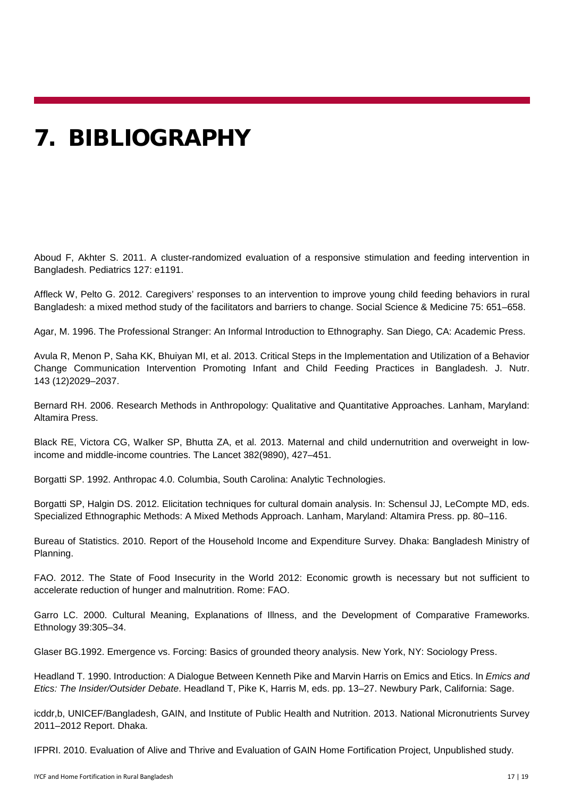### <span id="page-19-0"></span>7. BIBLIOGRAPHY

Aboud F, Akhter S. 2011. A cluster-randomized evaluation of a responsive stimulation and feeding intervention in Bangladesh. Pediatrics 127: e1191.

Affleck W, Pelto G. 2012. Caregivers' responses to an intervention to improve young child feeding behaviors in rural Bangladesh: a mixed method study of the facilitators and barriers to change. Social Science & Medicine 75: 651–658.

Agar, M. 1996. The Professional Stranger: An Informal Introduction to Ethnography. San Diego, CA: Academic Press.

Avula R, [Menon](http://jn.nutrition.org/content/143/12/2029.short) P, Saha KK, Bhuiyan MI, [et al. 2013. Critical Steps in the Implementation and Utilization of a Behavior](http://jn.nutrition.org/content/143/12/2029.short)  [Change Communication Intervention Promoting](http://jn.nutrition.org/content/143/12/2029.short) Infant and Child Feeding Practices in Bangladesh. J. Nutr. 143 (12)2029–2037.

Bernard RH. 2006. Research Methods in Anthropology: Qualitative and Quantitative Approaches. Lanham, Maryland: Altamira Press.

Black RE, Victora CG, Walker SP, Bhutta ZA, et al. 2013. Maternal and child undernutrition and overweight in lowincome and middle-income countries. The Lancet 382(9890), 427–451.

Borgatti SP. 1992. Anthropac 4.0. Columbia, South Carolina: Analytic Technologies.

Borgatti SP, Halgin DS. 2012. Elicitation techniques for cultural domain analysis. In: Schensul JJ, LeCompte MD, eds. Specialized Ethnographic Methods: A Mixed Methods Approach. Lanham, Maryland: Altamira Press. pp. 80–116.

Bureau of Statistics. 2010. Report of the Household Income and Expenditure Survey. Dhaka: Bangladesh Ministry of Planning.

FAO. 2012. The State of Food Insecurity in the World 2012: Economic growth is necessary but not sufficient to accelerate reduction of hunger and malnutrition. Rome: FAO.

Garro LC. 2000. Cultural Meaning, Explanations of Illness, and the Development of Comparative Frameworks. Ethnology 39:305–34.

Glaser BG.1992. Emergence vs. Forcing: Basics of grounded theory analysis. New York, NY: Sociology Press.

Headland T*.* 1990. Introduction: A Dialogue Between Kenneth Pike and Marvin Harris on Emics and Etics. In *Emics and Etics: The Insider/Outsider Debate*. Headland T, Pike K, Harris M, eds. pp. 13–27. Newbury Park, California: Sage.

icddr,b, UNICEF/Bangladesh, GAIN, and Institute of Public Health and Nutrition. 2013. National Micronutrients Survey 2011–2012 Report. Dhaka.

IFPRI. 2010. Evaluation of Alive and Thrive and Evaluation of GAIN Home Fortification Project, Unpublished study.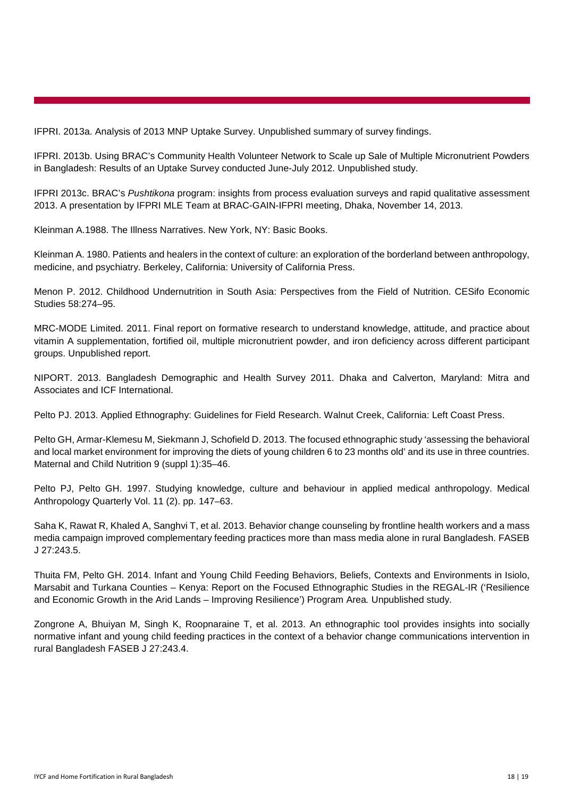IFPRI. 2013a. Analysis of 2013 MNP Uptake Survey. Unpublished summary of survey findings.

IFPRI. 2013b. Using BRAC's Community Health Volunteer Network to Scale up Sale of Multiple Micronutrient Powders in Bangladesh: Results of an Uptake Survey conducted June-July 2012. Unpublished study.

IFPRI 2013c. BRAC's *Pushtikona* program: insights from process evaluation surveys and rapid qualitative assessment 2013. A presentation by IFPRI MLE Team at BRAC-GAIN-IFPRI meeting, Dhaka, November 14, 2013.

Kleinman A.1988. The Illness Narratives. New York, NY: Basic Books.

Kleinman A. 1980. Patients and healers in the context of culture: an exploration of the borderland between anthropology, medicine, and psychiatry. Berkeley, California: University of California Press.

Menon P. 2012. Childhood Undernutrition in South Asia: Perspectives from the Field of Nutrition. CESifo Economic Studies 58:274–95.

MRC-MODE Limited. 2011. Final report on formative research to understand knowledge, attitude, and practice about vitamin A supplementation, fortified oil, multiple micronutrient powder, and iron deficiency across different participant groups. Unpublished report.

NIPORT. 2013. Bangladesh Demographic and Health Survey 2011. Dhaka and Calverton, Maryland: Mitra and Associates and ICF International.

Pelto PJ. 2013. Applied Ethnography: Guidelines for Field Research. Walnut Creek, California: Left Coast Press.

Pelto GH, Armar-Klemesu M, Siekmann J, Schofield D. 2013. The focused ethnographic study 'assessing the behavioral and local market environment for improving the diets of young children 6 to 23 months old' and its use in three countries. Maternal and Child Nutrition 9 (suppl 1):35–46.

Pelto PJ, Pelto GH. 1997. Studying knowledge, culture and behaviour in applied medical anthropology. Medical Anthropology Quarterly Vol. 11 (2). pp. 147–63.

Saha K, Rawat R, Khaled A, Sanghvi T, et al. 2013. Behavior change counseling by frontline health workers and a mass media campaign improved complementary feeding practices more than mass media alone in rural Bangladesh. FASEB J 27:243.5.

Thuita FM, Pelto GH. 2014. Infant and Young Child Feeding Behaviors, Beliefs, Contexts and Environments in Isiolo, Marsabit and Turkana Counties – Kenya: Report on the Focused Ethnographic Studies in the REGAL-IR ('Resilience and Economic Growth in the Arid Lands – Improving Resilience') Program Area*.* Unpublished study.

Zongrone A, Bhuiyan M, Singh K, Roopnaraine T, et al. 2013. An ethnographic tool provides insights into socially normative infant and young child feeding practices in the context of a behavior change communications intervention in rural Bangladesh FASEB J 27:243.4.